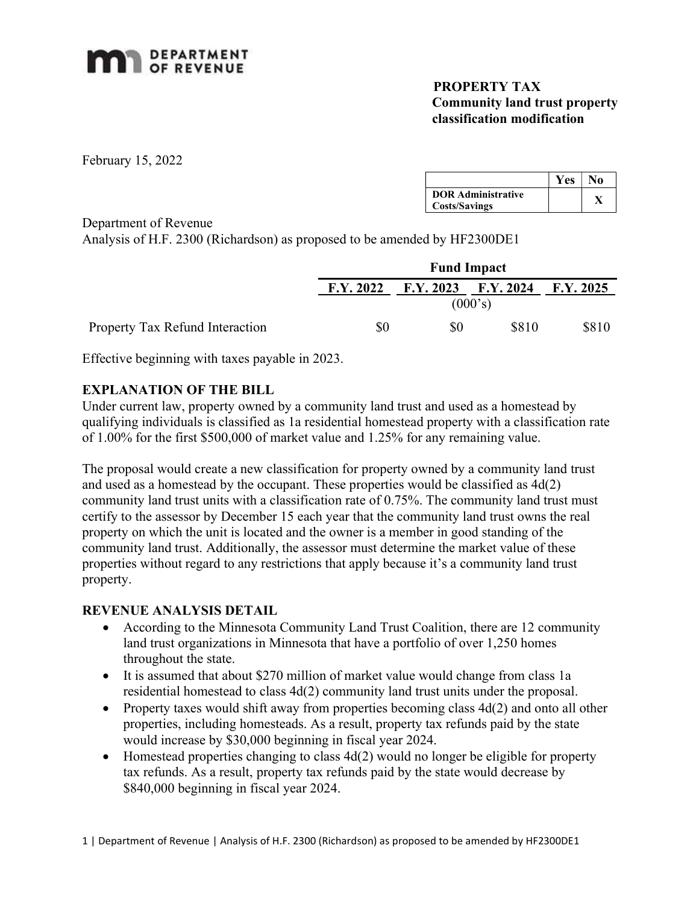

## PROPERTY TAX Community land trust property classification modification

February 15, 2022

|                           | <b>Yes</b> | Ńο |  |
|---------------------------|------------|----|--|
| <b>DOR Administrative</b> |            |    |  |
| <b>Costs/Savings</b>      |            |    |  |

Department of Revenue

Analysis of H.F. 2300 (Richardson) as proposed to be amended by HF2300DE1

|                                 | <b>Fund Impact</b> |     |                     |                 |
|---------------------------------|--------------------|-----|---------------------|-----------------|
|                                 | F.Y. 2022          |     | F.Y. 2023 F.Y. 2024 | $\rm F.Y. 2025$ |
|                                 |                    |     | (000's)             |                 |
| Property Tax Refund Interaction | \$0                | \$0 | \$810               | \$810           |

Effective beginning with taxes payable in 2023.

## EXPLANATION OF THE BILL

Under current law, property owned by a community land trust and used as a homestead by qualifying individuals is classified as 1a residential homestead property with a classification rate of 1.00% for the first \$500,000 of market value and 1.25% for any remaining value.

The proposal would create a new classification for property owned by a community land trust and used as a homestead by the occupant. These properties would be classified as 4d(2) community land trust units with a classification rate of 0.75%. The community land trust must certify to the assessor by December 15 each year that the community land trust owns the real property on which the unit is located and the owner is a member in good standing of the community land trust. Additionally, the assessor must determine the market value of these properties without regard to any restrictions that apply because it's a community land trust property.

## REVENUE ANALYSIS DETAIL

- According to the Minnesota Community Land Trust Coalition, there are 12 community land trust organizations in Minnesota that have a portfolio of over 1,250 homes throughout the state.
- It is assumed that about \$270 million of market value would change from class 1a residential homestead to class 4d(2) community land trust units under the proposal.
- Property taxes would shift away from properties becoming class  $4d(2)$  and onto all other properties, including homesteads. As a result, property tax refunds paid by the state would increase by \$30,000 beginning in fiscal year 2024.
- $\bullet$  Homestead properties changing to class 4d(2) would no longer be eligible for property tax refunds. As a result, property tax refunds paid by the state would decrease by \$840,000 beginning in fiscal year 2024.